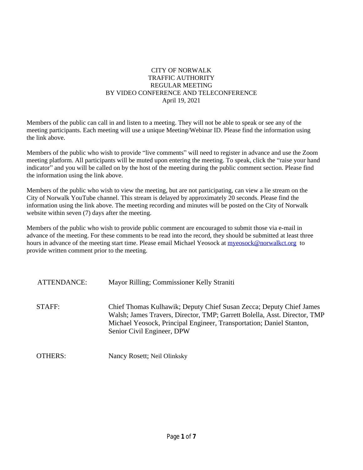### CITY OF NORWALK TRAFFIC AUTHORITY REGULAR MEETING BY VIDEO CONFERENCE AND TELECONFERENCE April 19, 2021

Members of the public can call in and listen to a meeting. They will not be able to speak or see any of the meeting participants. Each meeting will use a unique Meeting/Webinar ID. Please find the information using the link above.

Members of the public who wish to provide "live comments" will need to register in advance and use the Zoom meeting platform. All participants will be muted upon entering the meeting. To speak, click the "raise your hand indicator" and you will be called on by the host of the meeting during the public comment section. Please find the information using the link above.

Members of the public who wish to view the meeting, but are not participating, can view a lie stream on the City of Norwalk YouTube channel. This stream is delayed by approximately 20 seconds. Please find the information using the link above. The meeting recording and minutes will be posted on the City of Norwalk website within seven (7) days after the meeting.

Members of the public who wish to provide public comment are encouraged to submit those via e-mail in advance of the meeting. For these comments to be read into the record, they should be submitted at least three hours in advance of the meeting start time. Please email Michael Yeosock at [myeosock@norwalkct.org](mailto:myeosock@norwalkct.org) to provide written comment prior to the meeting.

| ATTENDANCE: | Mayor Rilling; Commissioner Kelly Straniti                                                                                                                                                                                                             |
|-------------|--------------------------------------------------------------------------------------------------------------------------------------------------------------------------------------------------------------------------------------------------------|
| STAFF:      | Chief Thomas Kulhawik; Deputy Chief Susan Zecca; Deputy Chief James<br>Walsh; James Travers, Director, TMP; Garrett Bolella, Asst. Director, TMP<br>Michael Yeosock, Principal Engineer, Transportation; Daniel Stanton,<br>Senior Civil Engineer, DPW |
| OTHERS:     | Nancy Rosett; Neil Olinksky                                                                                                                                                                                                                            |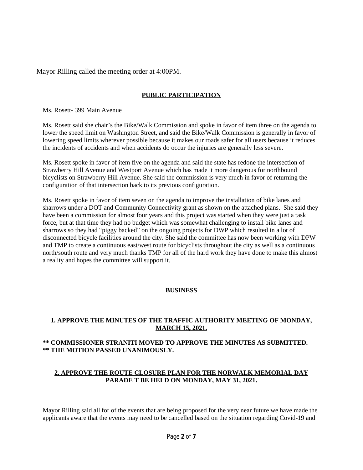Mayor Rilling called the meeting order at 4:00PM.

## **PUBLIC PARTICIPATION**

Ms. Rosett- 399 Main Avenue

Ms. Rosett said she chair's the Bike/Walk Commission and spoke in favor of item three on the agenda to lower the speed limit on Washington Street, and said the Bike/Walk Commission is generally in favor of lowering speed limits wherever possible because it makes our roads safer for all users because it reduces the incidents of accidents and when accidents do occur the injuries are generally less severe.

Ms. Rosett spoke in favor of item five on the agenda and said the state has redone the intersection of Strawberry Hill Avenue and Westport Avenue which has made it more dangerous for northbound bicyclists on Strawberry Hill Avenue. She said the commission is very much in favor of returning the configuration of that intersection back to its previous configuration.

Ms. Rosett spoke in favor of item seven on the agenda to improve the installation of bike lanes and sharrows under a DOT and Community Connectivity grant as shown on the attached plans. She said they have been a commission for almost four years and this project was started when they were just a task force, but at that time they had no budget which was somewhat challenging to install bike lanes and sharrows so they had "piggy backed" on the ongoing projects for DWP which resulted in a lot of disconnected bicycle facilities around the city. She said the committee has now been working with DPW and TMP to create a continuous east/west route for bicyclists throughout the city as well as a continuous north/south route and very much thanks TMP for all of the hard work they have done to make this almost a reality and hopes the committee will support it.

### **BUSINESS**

### **1. APPROVE THE MINUTES OF THE TRAFFIC AUTHORITY MEETING OF MONDAY, MARCH 15, 2021.**

### **\*\* COMMISSIONER STRANITI MOVED TO APPROVE THE MINUTES AS SUBMITTED. \*\* THE MOTION PASSED UNANIMOUSLY.**

### **2. APPROVE THE ROUTE CLOSURE PLAN FOR THE NORWALK MEMORIAL DAY PARADE T BE HELD ON MONDAY, MAY 31, 2021.**

Mayor Rilling said all for of the events that are being proposed for the very near future we have made the applicants aware that the events may need to be cancelled based on the situation regarding Covid-19 and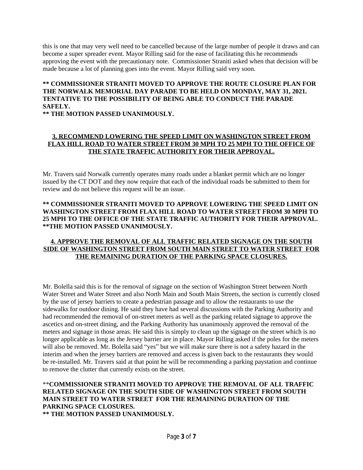this is one that may very well need to be cancelled because of the large number of people it draws and can become a super spreader event. Mayor Rilling said for the ease of facilitating this he recommends approving the event with the precautionary note. Commissioner Straniti asked when that decision will be made because a lot of planning goes into the event. Mayor Rilling said very soon.

# **\*\* COMMISSIONER STRANITI MOVED TO APPROVE THE ROUTE CLOSURE PLAN FOR THE NORWALK MEMORIAL DAY PARADE TO BE HELD ON MONDAY, MAY 31, 2021. TENTATIVE TO THE POSSIBILITY OF BEING ABLE TO CONDUCT THE PARADE SAFELY.**

**\*\* THE MOTION PASSED UNANIMOUSLY.**

### **3. RECOMMEND LOWERING THE SPEED LIMIT ON WASHINGTON STREET FROM FLAX HILL ROAD TO WATER STREET FROM 30 MPH TO 25 MPH TO THE OFFICE OF THE STATE TRAFFIC AUTHORITY FOR THEIR APPROVAL.**

Mr. Travers said Norwalk currently operates many roads under a blanket permit which are no longer issued by the CT DOT and they now require that each of the individual roads be submitted to them for review and do not believe this request will be an issue.

### **\*\* COMMISSIONER STRANITI MOVED TO APPROVE LOWERING THE SPEED LIMIT ON WASHINGTON STREET FROM FLAX HILL ROAD TO WATER STREET FROM 30 MPH TO 25 MPH TO THE OFFICE OF THE STATE TRAFFIC AUTHORITY FOR THEIR APPROVAL. \*\*THE MOTION PASSED UNANIMOUSLY.**

### **4. APPROVE THE REMOVAL OF ALL TRAFFIC RELATED SIGNAGE ON THE SOUTH SIDE OF WASHINGTON STREET FROM SOUTH MAIN STREET TO WATER STREET FOR THE REMAINING DURATION OF THE PARKING SPACE CLOSURES.**

Mr. Bolella said this is for the removal of signage on the section of Washington Street between North Water Street and Water Street and also North Main and South Main Streets, the section is currently closed by the use of jersey barriers to create a pedestrian passage and to allow the restaurants to use the sidewalks for outdoor dining. He said they have had several discussions with the Parking Authority and had recommended the removal of on-street meters as well as the parking related signage to approve the ascetics and on-street dining, and the Parking Authority has unanimously approved the removal of the meters and signage in those areas. He said this is simply to clean up the signage on the street which is no longer applicable as long as the Jersey barrier are in place. Mayor Rilling asked if the poles for the meters will also be removed. Mr. Bolella said "yes" but we will make sure there is not a safety hazard in the interim and when the jersey barriers are removed and access is given back to the restaurants they would be re-installed. Mr. Travers said at that point he will be recommending a parking paystation and continue to remove the clutter that currently exists on the street.

# \*\***COMMISSIONER STRANITI MOVED TO APPROVE THE REMOVAL OF ALL TRAFFIC RELATED SIGNAGE ON THE SOUTH SIDE OF WASHINGTON STREET FROM SOUTH MAIN STREET TO WATER STREET FOR THE REMAINING DURATION OF THE PARKING SPACE CLOSURES.**

**\*\* THE MOTION PASSED UNANIMOUSLY.**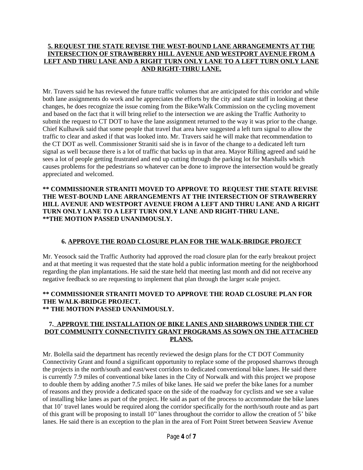### **5. REQUEST THE STATE REVISE THE WEST-BOUND LANE ARRANGEMENTS AT THE INTERSECTION OF STRAWBERRY HILL AVENUE AND WESTPORT AVENUE FROM A LEFT AND THRU LANE AND A RIGHT TURN ONLY LANE TO A LEFT TURN ONLY LANE AND RIGHT-THRU LANE.**

Mr. Travers said he has reviewed the future traffic volumes that are anticipated for this corridor and while both lane assignments do work and he appreciates the efforts by the city and state staff in looking at these changes, he does recognize the issue coming from the Bike/Walk Commission on the cycling movement and based on the fact that it will bring relief to the intersection we are asking the Traffic Authority to submit the request to CT DOT to have the lane assignment returned to the way it was prior to the change. Chief Kulhawik said that some people that travel that area have suggested a left turn signal to allow the traffic to clear and asked if that was looked into. Mr. Travers said he will make that recommendation to the CT DOT as well. Commissioner Straniti said she is in favor of the change to a dedicated left turn signal as well because there is a lot of traffic that backs up in that area. Mayor Rilling agreed and said he sees a lot of people getting frustrated and end up cutting through the parking lot for Marshalls which causes problems for the pedestrians so whatever can be done to improve the intersection would be greatly appreciated and welcomed.

**\*\* COMMISSIONER STRANITI MOVED TO APPROVE TO REQUEST THE STATE REVISE THE WEST-BOUND LANE ARRANGEMENTS AT THE INTERSECTION OF STRAWBERRY HILL AVENUE AND WESTPORT AVENUE FROM A LEFT AND THRU LANE AND A RIGHT TURN ONLY LANE TO A LEFT TURN ONLY LANE AND RIGHT-THRU LANE. \*\*THE MOTION PASSED UNANIMOUSLY.**

### **6. APPROVE THE ROAD CLOSURE PLAN FOR THE WALK-BRIDGE PROJECT**

Mr. Yeosock said the Traffic Authority had approved the road closure plan for the early breakout project and at that meeting it was requested that the state hold a public information meeting for the neighborhood regarding the plan implantations. He said the state held that meeting last month and did not receive any negative feedback so are requesting to implement that plan through the larger scale project.

#### **\*\* COMMISSIONER STRANITI MOVED TO APPROVE THE ROAD CLOSURE PLAN FOR THE WALK-BRIDGE PROJECT. \*\* THE MOTION PASSED UNANIMOUSLY.**

### **7. APPROVE THE INSTALLATION OF BIKE LANES AND SHARROWS UNDER THE CT DOT COMMUNITY CONNECTIVITY GRANT PROGRAMS AS SOWN ON THE ATTACHED PLANS.**

Mr. Bolella said the department has recently reviewed the design plans for the CT DOT Community Connectivity Grant and found a significant opportunity to replace some of the proposed sharrows through the projects in the north/south and east/west corridors to dedicated conventional bike lanes. He said there is currently 7.9 miles of conventional bike lanes in the City of Norwalk and with this project we propose to double them by adding another 7.5 miles of bike lanes. He said we prefer the bike lanes for a number of reasons and they provide a dedicated space on the side of the roadway for cyclists and we see a value of installing bike lanes as part of the project. He said as part of the process to accommodate the bike lanes that 10' travel lanes would be required along the corridor specifically for the north/south route and as part of this grant will be proposing to install 10" lanes throughout the corridor to allow the creation of 5' bike lanes. He said there is an exception to the plan in the area of Fort Point Street between Seaview Avenue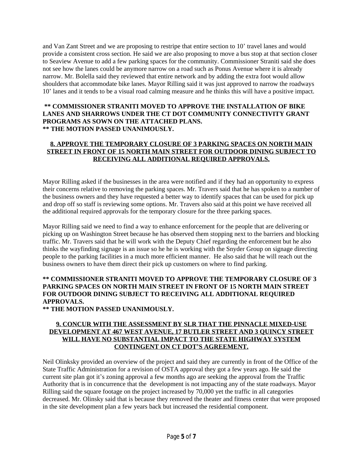and Van Zant Street and we are proposing to restripe that entire section to 10' travel lanes and would provide a consistent cross section. He said we are also proposing to move a bus stop at that section closer to Seaview Avenue to add a few parking spaces for the community. Commissioner Straniti said she does not see how the lanes could be anymore narrow on a road such as Ponus Avenue where it is already narrow. Mr. Bolella said they reviewed that entire network and by adding the extra foot would allow shoulders that accommodate bike lanes. Mayor Rilling said it was just approved to narrow the roadways 10' lanes and it tends to be a visual road calming measure and he thinks this will have a positive impact.

### **\*\* COMMISSIONER STRANITI MOVED TO APPROVE THE INSTALLATION OF BIKE LANES AND SHARROWS UNDER THE CT DOT COMMUNITY CONNECTIVITY GRANT PROGRAMS AS SOWN ON THE ATTACHED PLANS. \*\* THE MOTION PASSED UNANIMOUSLY.**

### **8. APPROVE THE TEMPORARY CLOSURE OF 3 PARKING SPACES ON NORTH MAIN STREET IN FRONT OF 15 NORTH MAIN STREET FOR OUTDOOR DINING SUBJECT TO RECEIVING ALL ADDITIONAL REQUIRED APPROVALS.**

Mayor Rilling asked if the businesses in the area were notified and if they had an opportunity to express their concerns relative to removing the parking spaces. Mr. Travers said that he has spoken to a number of the business owners and they have requested a better way to identify spaces that can be used for pick up and drop off so staff is reviewing some options. Mr. Travers also said at this point we have received all the additional required approvals for the temporary closure for the three parking spaces.

Mayor Rilling said we need to find a way to enhance enforcement for the people that are delivering or picking up on Washington Street because he has observed them stopping next to the barriers and blocking traffic. Mr. Travers said that he will work with the Deputy Chief regarding the enforcement but he also thinks the wayfinding signage is an issue so he he is working with the Snyder Group on signage directing people to the parking facilities in a much more efficient manner. He also said that he will reach out the business owners to have them direct their pick up customers on where to find parking.

# **\*\* COMMISSIONER STRANITI MOVED TO APPROVE THE TEMPORARY CLOSURE OF 3 PARKING SPACES ON NORTH MAIN STREET IN FRONT OF 15 NORTH MAIN STREET FOR OUTDOOR DINING SUBJECT TO RECEIVING ALL ADDITIONAL REQUIRED APPROVALS.**

**\*\* THE MOTION PASSED UNANIMOUSLY.**

### **9. CONCUR WITH THE ASSESSMENT BY SLR THAT THE PINNACLE MIXED-USE DEVELOPMENT AT 467 WEST AVENUE, 17 BUTLER STREET AND 3 QUINCY STREET WILL HAVE NO SUBSTANTIAL IMPACT TO THE STATE HIGHWAY SYSTEM CONTINGENT ON CT DOT'S AGREEMENT.**

Neil Olinksky provided an overview of the project and said they are currently in front of the Office of the State Traffic Administration for a revision of OSTA approval they got a few years ago. He said the current site plan got it's zoning approval a few months ago are seeking the approval from the Traffic Authority that is in concurrence that the development is not impacting any of the state roadways. Mayor Rilling said the square footage on the project increased by 70,000 yet the traffic in all categories decreased. Mr. Olinsky said that is because they removed the theater and fitness center that were proposed in the site development plan a few years back but increased the residential component.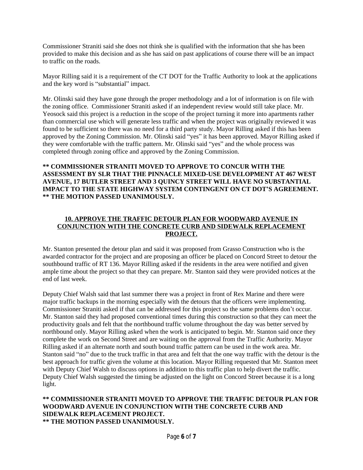Commissioner Straniti said she does not think she is qualified with the information that she has been provided to make this decision and as she has said on past applications of course there will be an impact to traffic on the roads.

Mayor Rilling said it is a requirement of the CT DOT for the Traffic Authority to look at the applications and the key word is "substantial" impact.

Mr. Olinski said they have gone through the proper methodology and a lot of information is on file with the zoning office. Commissioner Straniti asked if an independent review would still take place. Mr. Yeosock said this project is a reduction in the scope of the project turning it more into apartments rather than commercial use which will generate less traffic and when the project was originally reviewed it was found to be sufficient so there was no need for a third party study. Mayor Rilling asked if this has been approved by the Zoning Commission. Mr. Olinski said "yes" it has been approved. Mayor Rilling asked if they were comfortable with the traffic pattern. Mr. Olinski said "yes" and the whole process was completed through zoning office and approved by the Zoning Commission.

### **\*\* COMMISSIONER STRANITI MOVED TO APPROVE TO CONCUR WITH THE ASSESSMENT BY SLR THAT THE PINNACLE MIXED-USE DEVELOPMENT AT 467 WEST AVENUE, 17 BUTLER STREET AND 3 QUINCY STREET WILL HAVE NO SUBSTANTIAL IMPACT TO THE STATE HIGHWAY SYSTEM CONTINGENT ON CT DOT'S AGREEMENT. \*\* THE MOTION PASSED UNANIMOUSLY.**

### **10. APPROVE THE TRAFFIC DETOUR PLAN FOR WOODWARD AVENUE IN CONJUNCTION WITH THE CONCRETE CURB AND SIDEWALK REPLACEMENT PROJECT.**

Mr. Stanton presented the detour plan and said it was proposed from Grasso Construction who is the awarded contractor for the project and are proposing an officer be placed on Concord Street to detour the southbound traffic of RT 136. Mayor Rilling asked if the residents in the area were notified and given ample time about the project so that they can prepare. Mr. Stanton said they were provided notices at the end of last week.

Deputy Chief Walsh said that last summer there was a project in front of Rex Marine and there were major traffic backups in the morning especially with the detours that the officers were implementing. Commissioner Straniti asked if that can be addressed for this project so the same problems don't occur. Mr. Stanton said they had proposed conventional times during this construction so that they can meet the productivity goals and felt that the northbound traffic volume throughout the day was better served by northbound only. Mayor Rilling asked when the work is anticipated to begin. Mr. Stanton said once they complete the work on Second Street and are waiting on the approval from the Traffic Authority. Mayor Rilling asked if an alternate north and south bound traffic pattern can be used in the work area. Mr. Stanton said "no" due to the truck traffic in that area and felt that the one way traffic with the detour is the best approach for traffic given the volume at this location. Mayor Rilling requested that Mr. Stanton meet with Deputy Chief Walsh to discuss options in addition to this traffic plan to help divert the traffic. Deputy Chief Walsh suggested the timing be adjusted on the light on Concord Street because it is a long light.

### **\*\* COMMISSIONER STRANITI MOVED TO APPROVE THE TRAFFIC DETOUR PLAN FOR WOODWARD AVENUE IN CONJUNCTION WITH THE CONCRETE CURB AND SIDEWALK REPLACEMENT PROJECT. \*\* THE MOTION PASSED UNANIMOUSLY.**